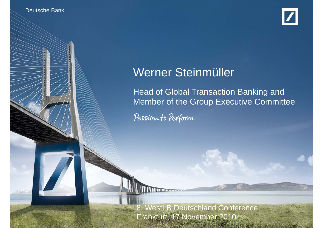**B. WestLand Conference** 

Deutsche Banken



# Werner Steinmüller

Head of Global Transaction Banking and Member of the Group Executive Committee

Passion to Perform

Werner Steinmunker Stein

Frankfurt, 17 Nov 2010

8. WestLB Deutschland Conference Frankfurt, 17 November 2010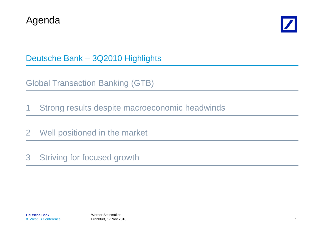



Deutsche Bank – 3Q2010 Highlights

Global Transaction Banking (GTB)

1 Strong results despite macroeconomic headwinds

2 Well positioned in the market

3 Striving for focused growth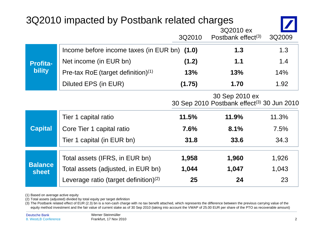| 3Q2010 impacted by Postbank related charges |                                                |        |                                                                          |        |  |
|---------------------------------------------|------------------------------------------------|--------|--------------------------------------------------------------------------|--------|--|
|                                             |                                                | 3Q2010 | 3Q2010 ex<br>Postbank effect $(3)$                                       | 3Q2009 |  |
| <b>Profita-</b><br><b>bility</b>            | Income before income taxes (in EUR bn) (1.0)   |        | 1.3                                                                      | 1.3    |  |
|                                             | Net income (in EUR bn)                         | (1.2)  | 1.1                                                                      | 1.4    |  |
|                                             | Pre-tax RoE (target definition) <sup>(1)</sup> | 13%    | 13%                                                                      | 14%    |  |
|                                             | Diluted EPS (in EUR)                           | (1.75) | 1.70                                                                     | 1.92   |  |
|                                             |                                                |        | 30 Sep 2010 ex<br>30 Sep 2010 Postbank effect <sup>(3)</sup> 30 Jun 2010 |        |  |
| <b>Capital</b>                              | Tier 1 capital ratio                           | 11.5%  | 11.9%                                                                    | 11.3%  |  |
|                                             | Core Tier 1 capital ratio                      | 7.6%   | 8.1%                                                                     | 7.5%   |  |
|                                             | Tier 1 capital (in EUR bn)                     | 31.8   | 33.6                                                                     | 34.3   |  |
| <b>Balance</b><br><b>sheet</b>              | Total assets (IFRS, in EUR bn)                 | 1,958  | 1,960                                                                    | 1,926  |  |
|                                             | Total assets (adjusted, in EUR bn)             | 1,044  | 1,047                                                                    | 1,043  |  |
|                                             | Leverage ratio (target definition) $(2)$       | 25     | 24                                                                       | 23     |  |

(1) Based on average active equity

(2) Total assets (adjusted) divided by total equity per target definition

(3) The Postbank related effect of EUR (2.3) bn is a non-cash charge with no tax benefit attached, which represents the difference between the previous carrying value of the equity method investment and the fair value of current stake as of 30 Sep 2010 (taking into account the VWAP of 25.00 EUR per share of the PTO as recoverable amount)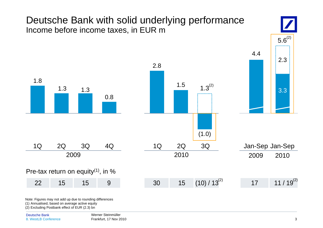## Deutsche Bank with solid underlying performance Income before income taxes, in EUR m



Note: Figures may not add up due to rounding differences

(1) Annualised, based on average active equity

(2) Excluding Postbank effect of EUR (2.3) bn

 $5.6^{(2)}$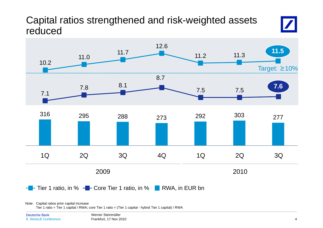## Capital ratios strengthened and risk-weighted assets reduced



Note: Capital ratios prior capital increase

Tier 1 ratio = Tier 1 capital / RWA; core Tier 1 ratio = (Tier 1 capital - hybrid Tier 1 capital) / RWA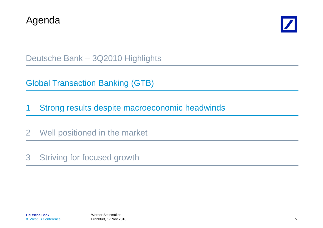



Deutsche Bank – 3Q2010 Highlights

Global Transaction Banking (GTB)

1 Strong results despite macroeconomic headwinds

2 Well positioned in the market

3 Striving for focused growth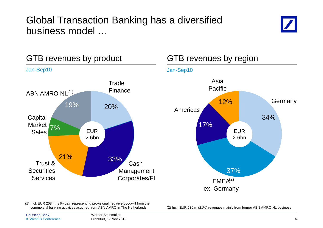## Global Transaction Bankin g has a diversified business model …





(1) Incl. EUR 208 m (8%) gain representing provisional negative goodwill from the

commercial banking activities acquired from ABN AMRO in The Netherlands (2) Incl. EUR 536 m (21%) revenues mainly from former ABN AMRO NL business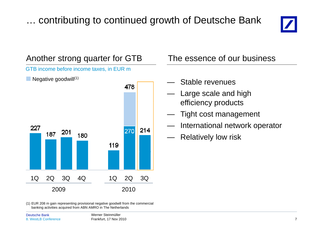# ... contributing to continued growth of Deutsche Bank





(1) EUR 208 m gain representing provisional negative goodwill from the commercial<br>banking activities acquired from ABN AMRO in The Netherlands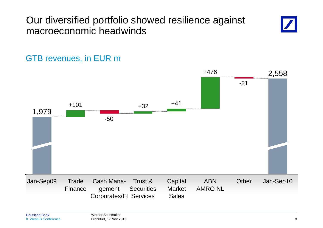## Our diversified portfolio showed resilience against macroeconomic headwinds



#### +476 2,558  $+41$ -211,979 +101-50+32 +41ABN OtherOther Jan-Sep10 AMRO NL**Capital** MarketSalesTrust &**Securities** Corporates/FI Services Cash Management **Trade** FinanceJan-Sep09

## GTB revenues, in EUR m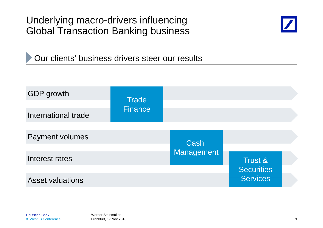Underlying macro-drivers influencing Global Transaction Banking business



Our clients' business drivers steer our results

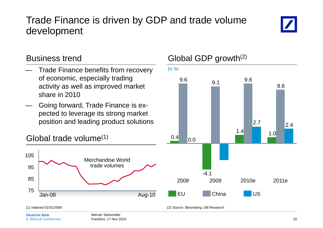## Trade Finance is driven b y GDP and trade volume development



- Trade Finance benefits from recovery of economic, especially trading  $_{\rm 9.6}$ activity as well as improved market share in 2010
- Going forward, Trade Finance is expected to leverage its strong market position and leading product solutions





#### Deutsche Bank

### Business trend Global GDP growth<sup>(2)</sup>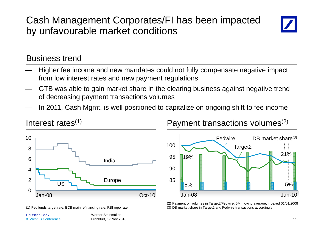## Cash Management Corporates/FI has been impacted by unfavourable market conditions



#### Business trend

- Higher fee income and new mandates could not fully compensate negative impact from low interest rates and new payment regulations
- GTB was able to gain market share in the clearing business against negative trend of decreasing payment transactions volumes
- In 2011, Cash Mgmt. is well positioned to capitalize on ongoing shift to fee income



(1) Fed funds target rate, ECB main refinancing rate, RBI repo rate



Interest rates $^{(1)}$   $\hspace{1cm}$  Payment transactions volumes $^{(2)}$ 



(2) Payment tx. volumes in Target2/Fedwire, 6M moving average; indexed 01/01/2008 (3) DB market share in Target2 and Fedwire transactions accordingly

Werner SteinmüllerFrankfurt, 17 Nov 2010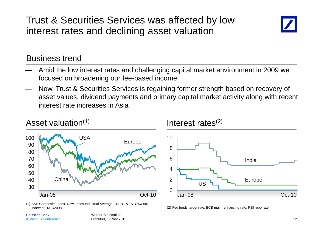Trust & Securities Services was affected b y low interest rates and declining asset valuation



#### Business trend

- Amid the low interest rates and challenging capital market environment in 2009 we focused on broadening our fee-based income
- Now, Trust & Securities Services is regaining former strength based on recovery of asset values, dividend payments and primary capital market activity along with recent interest rate increases in Asia



Indexed 01/01/2008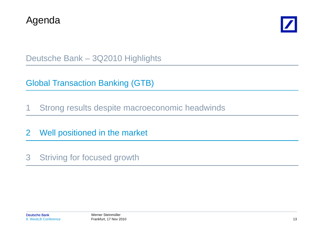



Deutsche Bank – 3Q2010 Highlights

Global Transaction Banking (GTB)

1 Strong results despite macroeconomic headwinds

2 Well positioned in the market

3 Striving for focused growth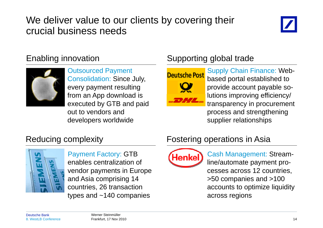## We deliver value to our clients by covering their crucial business needs





Consolidation: Since July, every payment resulting from an App download is executed by GTB and paid out to vendors and developers worldwide

## Enabling innovation Supporting global trade



Outsourced Payment<br>
Deutsche Post<br>
Supply Chain Finance: Webbased portal established to provide account payable solutions improving efficiency/ transparency in procurement by GTB and paid **transparency in procurement**<br>dors and supplier relationships

## Reducing complexity



Payment Factory: GTB **Graphs** Cash Management: St enables centralization of vendor payments in Europe and Asia comprising 14 countries, 26 transaction types and ~140 companies

### Fostering operations in Asia



Cas h Management: Streamline/automate payment processes across 12 countries, sia comprising 14 >50 companies and >100 accounts to optimize liquidity across regions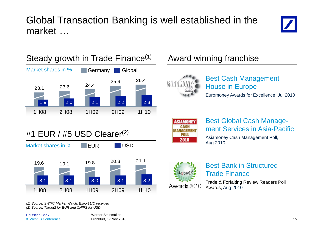## Global Transaction Bankin g is well established in the market …







(1) Source: SWIFT Market Watch, Export L/C received *(2) Source: Target2 for EUR and CHIPS for USD*



Best Cash Management House in Europe Euromoney Awards for Excellence, Jul 2010



#### Best Global Cash Management Services in Asia-Pacific

Asiamoney Cash Management Poll, Aug 2010



# Trade Finance

Trade & Forfaiting Review Readers Poll Awards, Aug 2010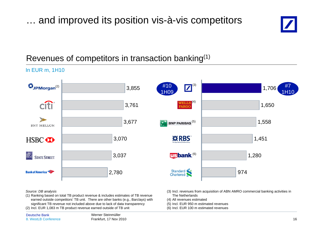... and improved its position vis-à-vis competitors



### Revenues of competitors in transaction banking(1)

In EUR m, 1H10



*Source: DB analysis*

(1) Ranking based on total TB product revenue & includes estimates of TB revenue earned outside competitors' TB unit. There are other banks (e.g., Barclays) with significant TB revenue not included above due to lack of data transparency

(2) Incl. EUR 1,083 m TB product revenue earned outside of TB unit

- (3) Incl. revenues from acquisition of ABN AMRO commercial banking activities in The Netherlands
- (4) All revenues estimated
- (5) Incl. EUR 950 m estimated revenues
- (6) Incl. EUR 100 m estimated revenues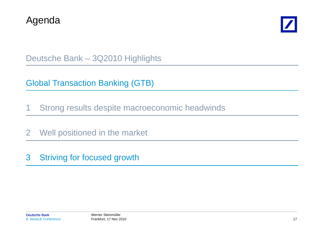



Deutsche Bank – 3Q2010 Highlights

Global Transaction Banking (GTB)

1 Strong results despite macroeconomic headwinds

2 Well positioned in the market

3 Striving for focused growth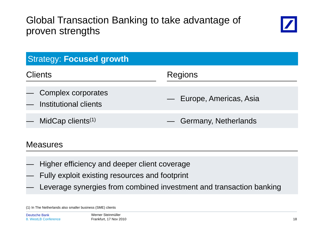## Global Transaction Bankin g to take advanta ge of proven strengths



| <b>Strategy: Focused growth</b>               |                          |  |  |  |
|-----------------------------------------------|--------------------------|--|--|--|
| <b>Clients</b>                                | <b>Regions</b>           |  |  |  |
| - Complex corporates<br>Institutional clients | - Europe, Americas, Asia |  |  |  |
| MidCap clients <sup>(1)</sup>                 | - Germany, Netherlands   |  |  |  |

#### Measures

- $\sim$ Higher efficiency and deeper client coverage
- ———————————————— Fully exploit existing resources and footprint
- ———————————————— Leverage synergies from combined investment and transaction banking

<sup>(1)</sup> In The Netherlands also smaller business (SME) clients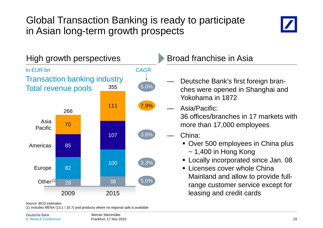## Global Transaction Banking is ready to participate in Asian long-term growth prospects





#### *Source: BCG estimates*

(1) Includes MENA (13.1 / 16.7) and products where no regional split is available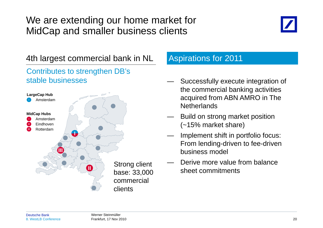## We are extending our home market for MidCap and smaller business clients



### 4th largest commercial bank in NL Aspirations for 2011

#### Contributes to strengthen DB's stable businesses



- — Successfully execute integration of the commercial banking activities acquired from ABN AMRO in The **Netherlands**
- — Build on strong market position (~15% market share)
- Implement shift in portfolio focus: From lending-driven to fee-driven business model
- —Derive more value from balance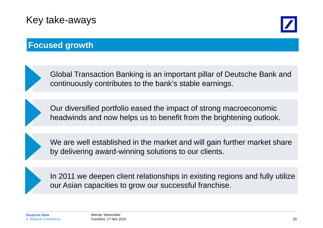## Key take-aways



### **Focused growth**



Global Transaction Banking is an important pillar of Deutsche Bank and continuously contributes to the bank's stable earnings.

Our diversified portfolio eased the impact of strong macroeconomic headwinds and now helps us to benefit from the brightening outlook.

We are well established in the market and will gain further market share by delivering award-winning solutions to our clients.

In 2011 we deepen client relationships in existing regions and fully utilize our Asian capacities to grow our successful franchise.